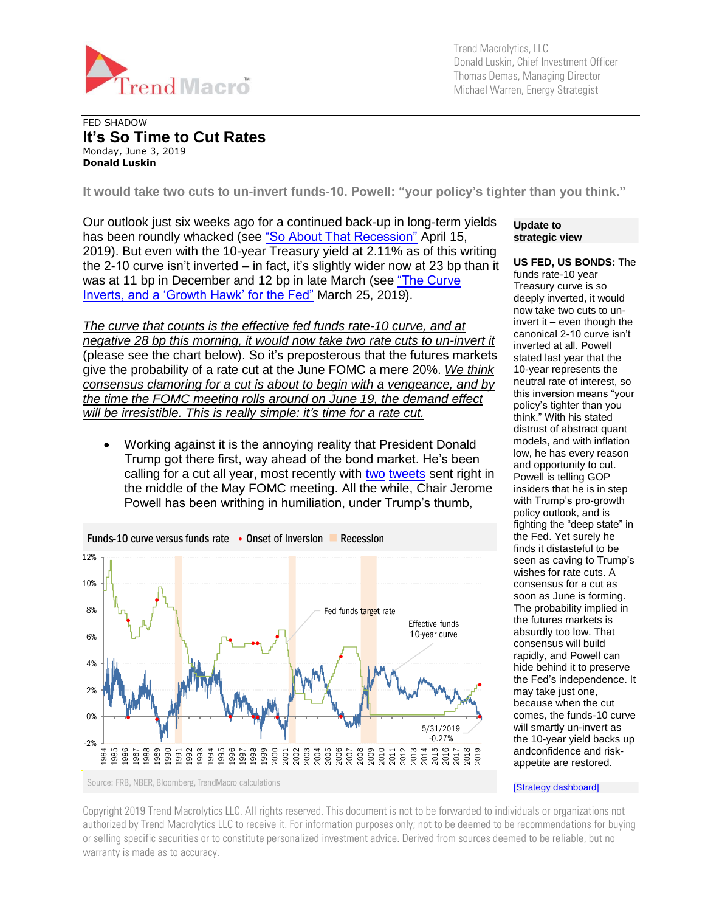

Trend Macrolytics, LLC Donald Luskin, Chief Investment Officer Thomas Demas, Managing Director Michael Warren, Energy Strategist

#### FED SHADOW **It's So Time to Cut Rates** Monday, June 3, 2019 **Donald Luskin**

**It would take two cuts to un-invert funds-10. Powell: "your policy's tighter than you think."**

Our outlook just six weeks ago for a continued back-up in long-term yields has been roundly whacked (see ["So About That Recession"](https://tmac.ro/2PeFVW4) April 15, 2019). But even with the 10-year Treasury yield at 2.11% as of this writing the 2-10 curve isn't inverted – in fact, it's slightly wider now at 23 bp than it was at 11 bp in December and 12 bp in late March (see "The Curve Inverts, and a 'Growth Hawk' for the Fed" March 25, 2019).

*The curve that counts is the effective fed funds rate-10 curve, and at negative 28 bp this morning, it would now take two rate cuts to un-invert it* (please see the chart below). So it's preposterous that the futures markets give the probability of a rate cut at the June FOMC a mere 20%. *We think consensus clamoring for a cut is about to begin with a vengeance, and by the time the FOMC meeting rolls around on June 19, the demand effect will be irresistible. This is really simple: it's time for a rate cut.*

• Working against it is the annoying reality that President Donald Trump got there first, way ahead of the bond market. He's been calling for a cut all year, most recently with [two](https://twitter.com/realDonaldTrump/status/1123285120864092162) [tweets](https://twitter.com/realDonaldTrump/status/1123287154833203200) sent right in the middle of the May FOMC meeting. All the while, Chair Jerome Powell has been writhing in humiliation, under Trump's thumb,



**Update to strategic view**

**US FED, US BONDS:** The funds rate-10 year Treasury curve is so deeply inverted, it would now take two cuts to uninvert it – even though the canonical 2-10 curve isn't inverted at all. Powell stated last year that the 10-year represents the neutral rate of interest, so this inversion means "your policy's tighter than you think." With his stated distrust of abstract quant models, and with inflation low, he has every reason and opportunity to cut. Powell is telling GOP insiders that he is in step with Trump's pro-growth policy outlook, and is fighting the "deep state" in the Fed. Yet surely he finds it distasteful to be seen as caving to Trump's wishes for rate cuts. A consensus for a cut as soon as June is forming. The probability implied in the futures markets is absurdly too low. That consensus will build rapidly, and Powell can hide behind it to preserve the Fed's independence. It may take just one, because when the cut comes, the funds-10 curve will smartly un-invert as the 10-year yield backs up andconfidence and riskappetite are restored.

[\[Strategy dashboard\]](http://trendmacro.com/strategy)

Copyright 2019 Trend Macrolytics LLC. All rights reserved. This document is not to be forwarded to individuals or organizations not authorized by Trend Macrolytics LLC to receive it. For information purposes only; not to be deemed to be recommendations for buying or selling specific securities or to constitute personalized investment advice. Derived from sources deemed to be reliable, but no warranty is made as to accuracy.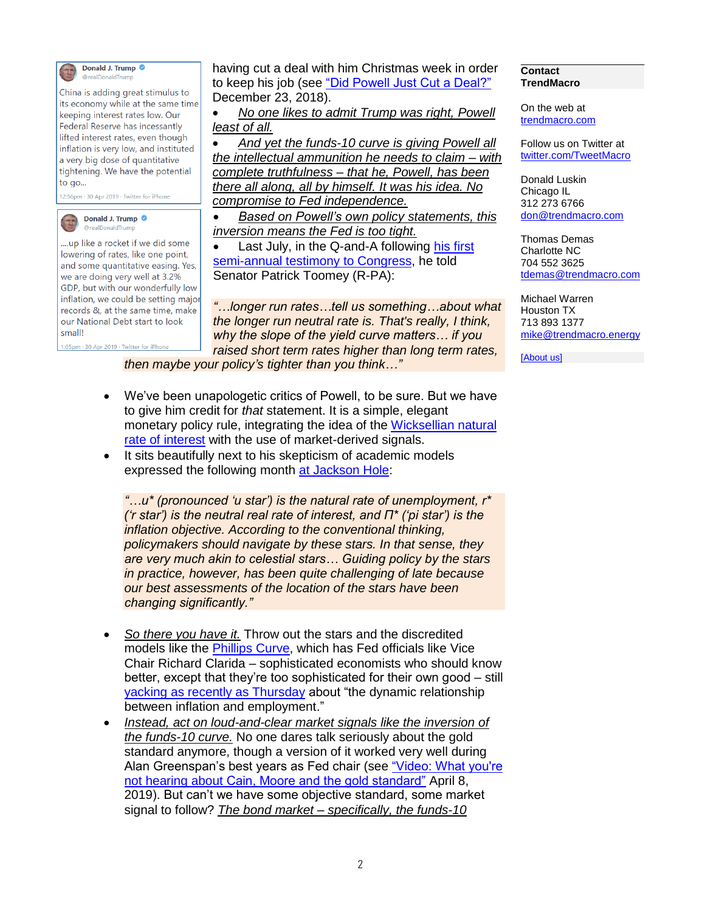

Donald J. Trump @realDonaldTrum

China is adding great stimulus to its economy while at the same time keeping interest rates low. Our Federal Reserve has incessantly lifted interest rates, even though inflation is very low, and instituted a very big dose of quantitative tightening. We have the potential to go...

12:56pm · 30 Apr 2019 · Twitter for iPhone



....up like a rocket if we did some lowering of rates, like one point, and some quantitative easing. Yes, we are doing very well at 3.2% GDP, but with our wonderfully low inflation, we could be setting major records &, at the same time, make our National Debt start to look small!

having cut a deal with him Christmas week in order to keep his job (see ["Did Powell Just Cut a Deal?"](https://tmac.ro/2EHbd4u) December 23, 2018).

• *No one likes to admit Trump was right, Powell least of all.* 

• *And yet the funds-10 curve is giving Powell all the intellectual ammunition he needs to claim – with complete truthfulness – that he, Powell, has been there all along, all by himself. It was his idea. No compromise to Fed independence.* 

• *Based on Powell's own policy statements, this inversion means the Fed is too tight.*

Last July, in the Q-and-A following his first [semi-annual testimony to Congress,](https://www.dropbox.com/s/ct4o1lyvzda6kiu/20180717senateTestimony.pdf?dl=0) he told Senator Patrick Toomey (R-PA):

*"…longer run rates…tell us something…about what the longer run neutral rate is. That's really, I think, why the slope of the yield curve matters… if you raised short term rates higher than long term rates,* 

1:05pm · 30 Apr 2019 · Twitter for iPhone

*then maybe your policy's tighter than you think…"*

- We've been unapologetic critics of Powell, to be sure. But we have to give him credit for *that* statement. It is a simple, elegant monetary policy rule, integrating the idea of the [Wicksellian natural](https://www.federalreserve.gov/newsevents/speech/fischer20160519.htm)  [rate of interest](https://www.federalreserve.gov/newsevents/speech/fischer20160519.htm) with the use of market-derived signals.
- It sits beautifully next to his skepticism of academic models expressed the following month [at Jackson Hole:](https://www.federalreserve.gov/newsevents/speech/powell20180824a.htm)

*"…u\* (pronounced 'u star') is the natural rate of unemployment, r\* ('r star') is the neutral real rate of interest, and Π\* ('pi star') is the inflation objective. According to the conventional thinking, policymakers should navigate by these stars. In that sense, they are very much akin to celestial stars… Guiding policy by the stars in practice, however, has been quite challenging of late because our best assessments of the location of the stars have been changing significantly."*

- *So there you have it.* Throw out the stars and the discredited models like the [Phillips Curve,](http://people.virginia.edu/~lc7p/202/Phillips58.pdf) which has Fed officials like Vice Chair Richard Clarida – sophisticated economists who should know better, except that they're too sophisticated for their own good – still yacking [as recently as Thursday](https://www.federalreserve.gov/newsevents/speech/clarida20190530a.htm) about "the dynamic relationship between inflation and employment."
- *Instead, act on loud-and-clear market signals like the inversion of the funds-10 curve.* No one dares talk seriously about the gold standard anymore, though a version of it worked very well during Alan Greenspan's best years as Fed chair (see "Video: What you're [not hearing about Cain, Moore and the gold standard"](https://tmac.ro/2G4GzCp) April 8, 2019). But can't we have some objective standard, some market signal to follow? *The bond market – specifically, the funds-10*

#### **Contact TrendMacro**

On the web at [trendmacro.com](http://www.trendmacro.com/)

Follow us on Twitter at [twitter.com/TweetMacro](https://twitter.com/#!/TweetMacro)

Donald Luskin Chicago IL 312 273 6766 [don@trendmacro.com](mailto:don@trendmacro.com)

Thomas Demas Charlotte NC 704 552 3625 [tdemas@trendmacro.com](mailto:tdemas@trendmacro.com)

Michael Warren Houston TX 713 893 1377 [mike@trendmacro.energy](mailto:mike@trendmacro.energy)

[\[About us\]](http://trendmacro.com/about/what-we-do)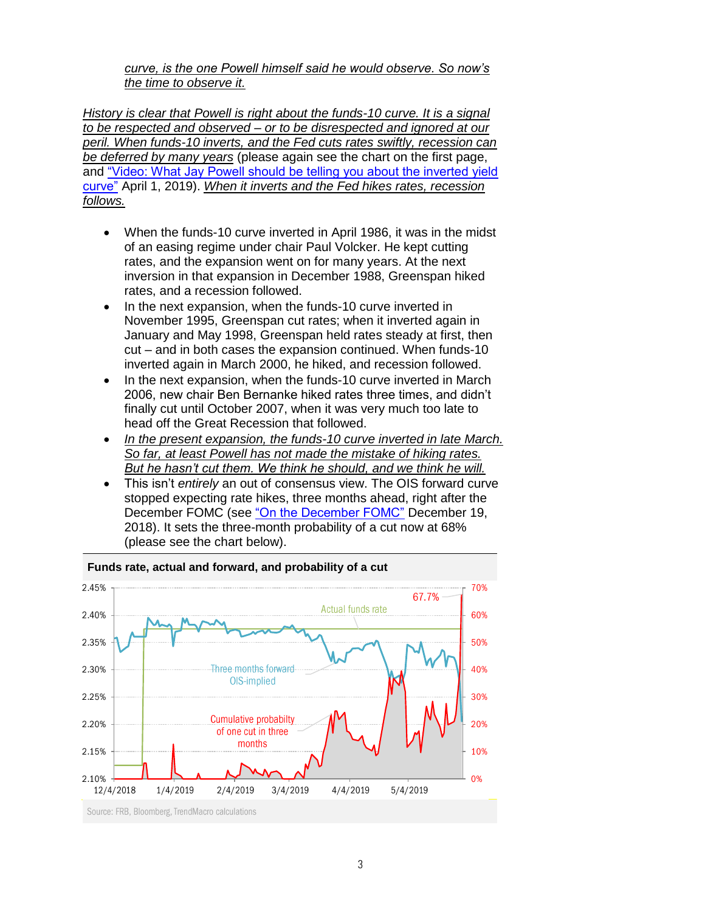### *curve, is the one Powell himself said he would observe. So now's the time to observe it.*

*History is clear that Powell is right about the funds-10 curve. It is a signal to be respected and observed – or to be disrespected and ignored at our peril. When funds-10 inverts, and the Fed cuts rates swiftly, recession can be deferred by many years* (please again see the chart on the first page, and ["Video: What Jay Powell should be telling you about the inverted yield](https://tmac.ro/2uCn7q3)  [curve"](https://tmac.ro/2uCn7q3) April 1, 2019). *When it inverts and the Fed hikes rates, recession follows.*

- When the funds-10 curve inverted in April 1986, it was in the midst of an easing regime under chair Paul Volcker. He kept cutting rates, and the expansion went on for many years. At the next inversion in that expansion in December 1988, Greenspan hiked rates, and a recession followed.
- In the next expansion, when the funds-10 curve inverted in November 1995, Greenspan cut rates; when it inverted again in January and May 1998, Greenspan held rates steady at first, then cut – and in both cases the expansion continued. When funds-10 inverted again in March 2000, he hiked, and recession followed.
- In the next expansion, when the funds-10 curve inverted in March 2006, new chair Ben Bernanke hiked rates three times, and didn't finally cut until October 2007, when it was very much too late to head off the Great Recession that followed.
- *In the present expansion, the funds-10 curve inverted in late March. So far, at least Powell has not made the mistake of hiking rates. But he hasn't cut them. We think he should, and we think he will.*
- This isn't *entirely* an out of consensus view. The OIS forward curve stopped expecting rate hikes, three months ahead, right after the December FOMC (see ["On the December FOMC"](https://tmac.ro/2LmxB4o) December 19, 2018). It sets the three-month probability of a cut now at 68% (please see the chart below).



# **Funds rate, actual and forward, and probability of a cut**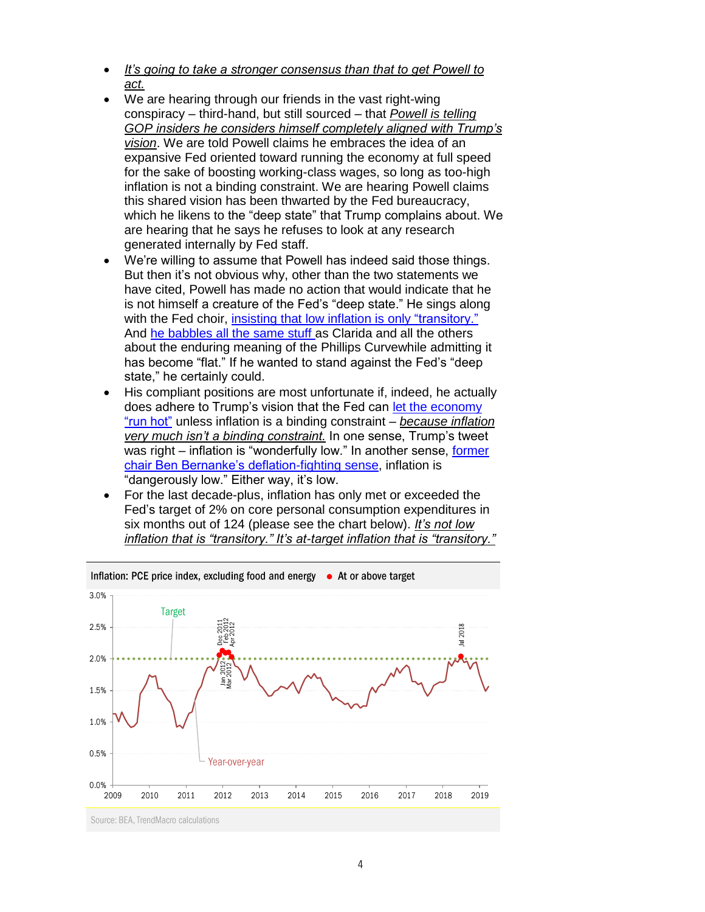- *It's going to take a stronger consensus than that to get Powell to act.*
- We are hearing through our friends in the vast right-wing conspiracy – third-hand, but still sourced – that *Powell is telling GOP insiders he considers himself completely aligned with Trump's vision*. We are told Powell claims he embraces the idea of an expansive Fed oriented toward running the economy at full speed for the sake of boosting working-class wages, so long as too-high inflation is not a binding constraint. We are hearing Powell claims this shared vision has been thwarted by the Fed bureaucracy, which he likens to the "deep state" that Trump complains about. We are hearing that he says he refuses to look at any research generated internally by Fed staff.
- We're willing to assume that Powell has indeed said those things. But then it's not obvious why, other than the two statements we have cited, Powell has made no action that would indicate that he is not himself a creature of the Fed's "deep state." He sings along with the Fed choir, [insisting that low inflation is](https://www.federalreserve.gov/mediacenter/files/FOMCpresconf20190501.pdf) only "transitory." And [he babbles all the same stuff](https://www.federalreserve.gov/newsevents/speech/powell20180406a.htm) as Clarida and all the others about the enduring meaning of the Phillips Curvewhile admitting it has become "flat." If he wanted to stand against the Fed's "deep state," he certainly could.
- His compliant positions are most unfortunate if, indeed, he actually does adhere to Trump's vision that the Fed can [let the economy](https://www.wsj.com/articles/yellen-cites-benefits-to-running-economy-hot-for-some-time-1476466215)  ["run hot"](https://www.wsj.com/articles/yellen-cites-benefits-to-running-economy-hot-for-some-time-1476466215) unless inflation is a binding constraint – *because inflation very much isn't a binding constraint.* In one sense, Trump's tweet was right – inflation is "wonderfully low." In another sense, former [chair Ben Bernanke's deflation-fighting sense,](https://www.federalreserve.gov/boarddocs/speeches/2002/20021121/) inflation is "dangerously low." Either way, it's low.
- For the last decade-plus, inflation has only met or exceeded the Fed's target of 2% on core personal consumption expenditures in six months out of 124 (please see the chart below). *It's not low inflation that is "transitory." It's at-target inflation that is "transitory."*

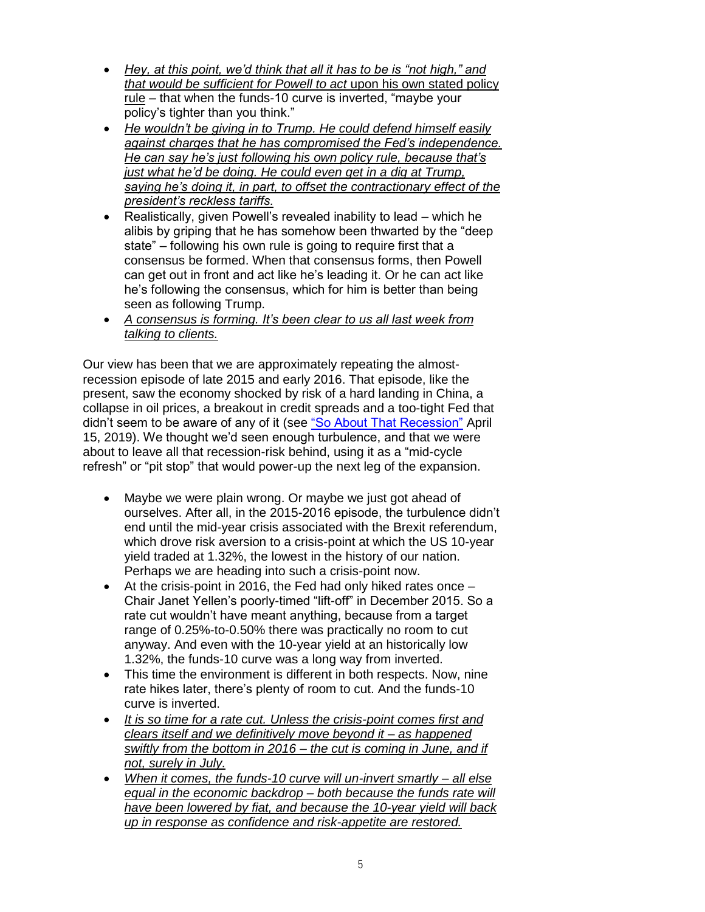- *Hey, at this point, we'd think that all it has to be is "not high," and that would be sufficient for Powell to act* upon his own stated policy rule – that when the funds-10 curve is inverted, "maybe your policy's tighter than you think."
- *He wouldn't be giving in to Trump. He could defend himself easily against charges that he has compromised the Fed's independence. He can say he's just following his own policy rule, because that's just what he'd be doing. He could even get in a dig at Trump, saying he's doing it, in part, to offset the contractionary effect of the president's reckless tariffs.*
- Realistically, given Powell's revealed inability to lead which he alibis by griping that he has somehow been thwarted by the "deep state" – following his own rule is going to require first that a consensus be formed. When that consensus forms, then Powell can get out in front and act like he's leading it. Or he can act like he's following the consensus, which for him is better than being seen as following Trump.
- *A consensus is forming. It's been clear to us all last week from talking to clients.*

Our view has been that we are approximately repeating the almostrecession episode of late 2015 and early 2016. That episode, like the present, saw the economy shocked by risk of a hard landing in China, a collapse in oil prices, a breakout in credit spreads and a too-tight Fed that didn't seem to be aware of any of it (see "So [About That Recession"](https://tmac.ro/2PeFVW4) April 15, 2019). We thought we'd seen enough turbulence, and that we were about to leave all that recession-risk behind, using it as a "mid-cycle refresh" or "pit stop" that would power-up the next leg of the expansion.

- Maybe we were plain wrong. Or maybe we just got ahead of ourselves. After all, in the 2015-2016 episode, the turbulence didn't end until the mid-year crisis associated with the Brexit referendum, which drove risk aversion to a crisis-point at which the US 10-year yield traded at 1.32%, the lowest in the history of our nation. Perhaps we are heading into such a crisis-point now.
- At the crisis-point in 2016, the Fed had only hiked rates once Chair Janet Yellen's poorly-timed "lift-off" in December 2015. So a rate cut wouldn't have meant anything, because from a target range of 0.25%-to-0.50% there was practically no room to cut anyway. And even with the 10-year yield at an historically low 1.32%, the funds-10 curve was a long way from inverted.
- This time the environment is different in both respects. Now, nine rate hikes later, there's plenty of room to cut. And the funds-10 curve is inverted.
- *It is so time for a rate cut. Unless the crisis-point comes first and clears itself and we definitively move beyond it – as happened swiftly from the bottom in 2016 – the cut is coming in June, and if not, surely in July.*
- *When it comes, the funds-10 curve will un-invert smartly – all else equal in the economic backdrop – both because the funds rate will have been lowered by fiat, and because the 10-year yield will back up in response as confidence and risk-appetite are restored.*